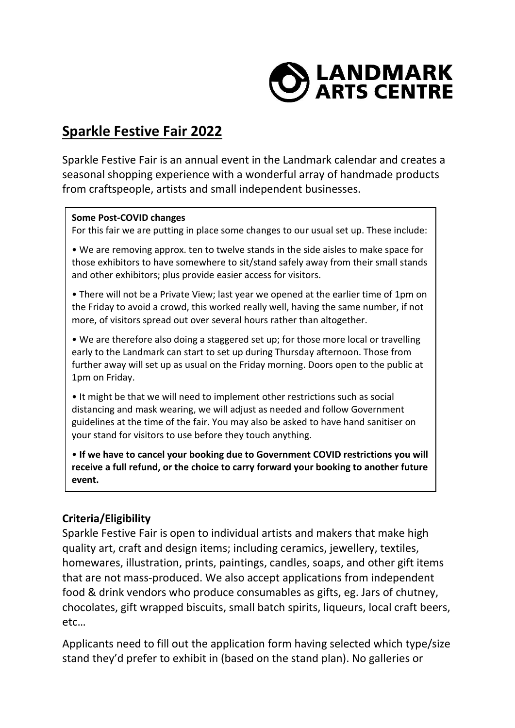

# **Sparkle Festive Fair 2022**

Sparkle Festive Fair is an annual event in the Landmark calendar and creates a seasonal shopping experience with a wonderful array of handmade products from craftspeople, artists and small independent businesses.

#### **Some Post-COVID changes**

For this fair we are putting in place some changes to our usual set up. These include:

• We are removing approx. ten to twelve stands in the side aisles to make space for those exhibitors to have somewhere to sit/stand safely away from their small stands and other exhibitors; plus provide easier access for visitors.

• There will not be a Private View; last year we opened at the earlier time of 1pm on the Friday to avoid a crowd, this worked really well, having the same number, if not more, of visitors spread out over several hours rather than altogether.

• We are therefore also doing a staggered set up; for those more local or travelling early to the Landmark can start to set up during Thursday afternoon. Those from further away will set up as usual on the Friday morning. Doors open to the public at 1pm on Friday.

• It might be that we will need to implement other restrictions such as social distancing and mask wearing, we will adjust as needed and follow Government guidelines at the time of the fair. You may also be asked to have hand sanitiser on your stand for visitors to use before they touch anything.

• **If we have to cancel your booking due to Government COVID restrictions you will receive a full refund, or the choice to carry forward your booking to another future event.**

## **Criteria/Eligibility**

Sparkle Festive Fair is open to individual artists and makers that make high quality art, craft and design items; including ceramics, jewellery, textiles, homewares, illustration, prints, paintings, candles, soaps, and other gift items that are not mass-produced. We also accept applications from independent food & drink vendors who produce consumables as gifts, eg. Jars of chutney, chocolates, gift wrapped biscuits, small batch spirits, liqueurs, local craft beers, etc…

Applicants need to fill out the application form having selected which type/size stand they'd prefer to exhibit in (based on the stand plan). No galleries or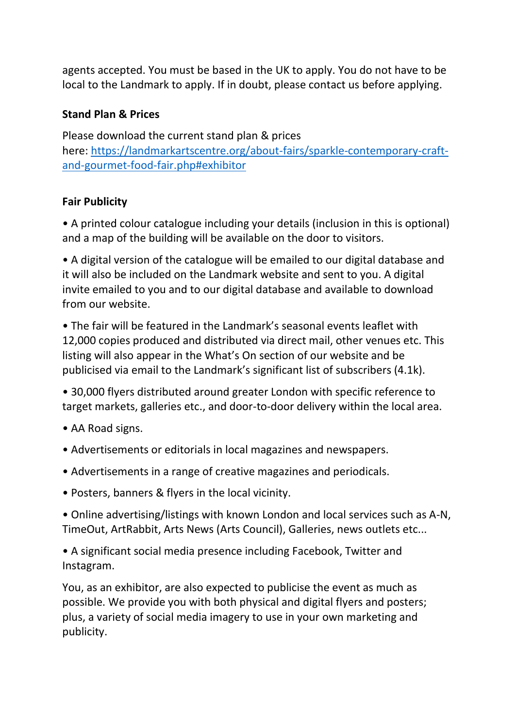agents accepted. You must be based in the UK to apply. You do not have to be local to the Landmark to apply. If in doubt, please contact us before applying.

#### **Stand Plan & Prices**

Please download the current stand plan & prices here: [https://landmarkartscentre.org/about-fairs/sparkle-contemporary-craft](https://landmarkartscentre.org/about-fairs/sparkle-contemporary-craft-and-gourmet-food-fair.php#exhibitor)[and-gourmet-food-fair.php#exhibitor](https://landmarkartscentre.org/about-fairs/sparkle-contemporary-craft-and-gourmet-food-fair.php#exhibitor)

## **Fair Publicity**

• A printed colour catalogue including your details (inclusion in this is optional) and a map of the building will be available on the door to visitors.

• A digital version of the catalogue will be emailed to our digital database and it will also be included on the Landmark website and sent to you. A digital invite emailed to you and to our digital database and available to download from our website.

• The fair will be featured in the Landmark's seasonal events leaflet with 12,000 copies produced and distributed via direct mail, other venues etc. This listing will also appear in the What's On section of our website and be publicised via email to the Landmark's significant list of subscribers (4.1k).

• 30,000 flyers distributed around greater London with specific reference to target markets, galleries etc., and door-to-door delivery within the local area.

- AA Road signs.
- Advertisements or editorials in local magazines and newspapers.
- Advertisements in a range of creative magazines and periodicals.
- Posters, banners & flyers in the local vicinity.

• Online advertising/listings with known London and local services such as A-N, TimeOut, ArtRabbit, Arts News (Arts Council), Galleries, news outlets etc...

• A significant social media presence including Facebook, Twitter and Instagram.

You, as an exhibitor, are also expected to publicise the event as much as possible. We provide you with both physical and digital flyers and posters; plus, a variety of social media imagery to use in your own marketing and publicity.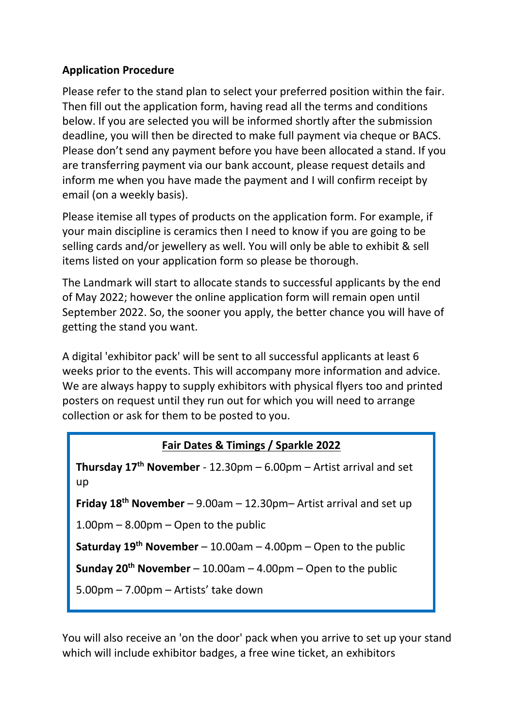## **Application Procedure**

Please refer to the stand plan to select your preferred position within the fair. Then fill out the application form, having read all the terms and conditions below. If you are selected you will be informed shortly after the submission deadline, you will then be directed to make full payment via cheque or BACS. Please don't send any payment before you have been allocated a stand. If you are transferring payment via our bank account, please request details and inform me when you have made the payment and I will confirm receipt by email (on a weekly basis).

Please itemise all types of products on the application form. For example, if your main discipline is ceramics then I need to know if you are going to be selling cards and/or jewellery as well. You will only be able to exhibit & sell items listed on your application form so please be thorough.

The Landmark will start to allocate stands to successful applicants by the end of May 2022; however the online application form will remain open until September 2022. So, the sooner you apply, the better chance you will have of getting the stand you want.

A digital 'exhibitor pack' will be sent to all successful applicants at least 6 weeks prior to the events. This will accompany more information and advice. We are always happy to supply exhibitors with physical flyers too and printed posters on request until they run out for which you will need to arrange collection or ask for them to be posted to you.

# **Fair Dates & Timings / Sparkle 2022**

**Thursday 17th November** - 12.30pm – 6.00pm – Artist arrival and set up

**Friday 18th November** – 9.00am – 12.30pm– Artist arrival and set up

1.00pm – 8.00pm – Open to the public

**Saturday 19th November** – 10.00am – 4.00pm – Open to the public

**Sunday 20th November** – 10.00am – 4.00pm – Open to the public

5.00pm – 7.00pm – Artists' take down

You will also receive an 'on the door' pack when you arrive to set up your stand which will include exhibitor badges, a free wine ticket, an exhibitors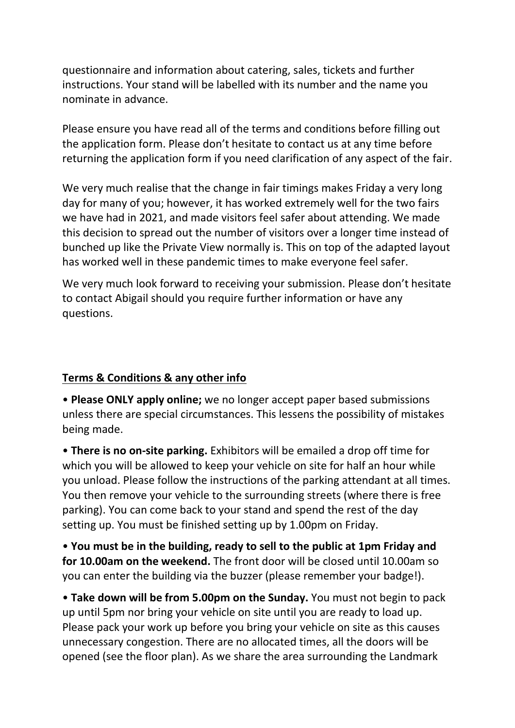questionnaire and information about catering, sales, tickets and further instructions. Your stand will be labelled with its number and the name you nominate in advance.

Please ensure you have read all of the terms and conditions before filling out the application form. Please don't hesitate to contact us at any time before returning the application form if you need clarification of any aspect of the fair.

We very much realise that the change in fair timings makes Friday a very long day for many of you; however, it has worked extremely well for the two fairs we have had in 2021, and made visitors feel safer about attending. We made this decision to spread out the number of visitors over a longer time instead of bunched up like the Private View normally is. This on top of the adapted layout has worked well in these pandemic times to make everyone feel safer.

We very much look forward to receiving your submission. Please don't hesitate to contact Abigail should you require further information or have any questions.

## **Terms & Conditions & any other info**

• **Please ONLY apply online;** we no longer accept paper based submissions unless there are special circumstances. This lessens the possibility of mistakes being made.

• **There is no on-site parking.** Exhibitors will be emailed a drop off time for which you will be allowed to keep your vehicle on site for half an hour while you unload. Please follow the instructions of the parking attendant at all times. You then remove your vehicle to the surrounding streets (where there is free parking). You can come back to your stand and spend the rest of the day setting up. You must be finished setting up by 1.00pm on Friday.

• **You must be in the building, ready to sell to the public at 1pm Friday and for 10.00am on the weekend.** The front door will be closed until 10.00am so you can enter the building via the buzzer (please remember your badge!).

• **Take down will be from 5.00pm on the Sunday.** You must not begin to pack up until 5pm nor bring your vehicle on site until you are ready to load up. Please pack your work up before you bring your vehicle on site as this causes unnecessary congestion. There are no allocated times, all the doors will be opened (see the floor plan). As we share the area surrounding the Landmark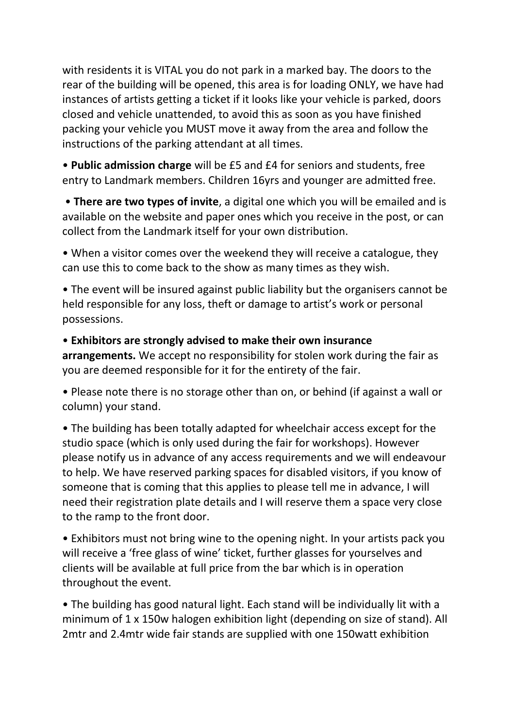with residents it is VITAL you do not park in a marked bay. The doors to the rear of the building will be opened, this area is for loading ONLY, we have had instances of artists getting a ticket if it looks like your vehicle is parked, doors closed and vehicle unattended, to avoid this as soon as you have finished packing your vehicle you MUST move it away from the area and follow the instructions of the parking attendant at all times.

• **Public admission charge** will be £5 and £4 for seniors and students, free entry to Landmark members. Children 16yrs and younger are admitted free.

• **There are two types of invite**, a digital one which you will be emailed and is available on the website and paper ones which you receive in the post, or can collect from the Landmark itself for your own distribution.

• When a visitor comes over the weekend they will receive a catalogue, they can use this to come back to the show as many times as they wish.

• The event will be insured against public liability but the organisers cannot be held responsible for any loss, theft or damage to artist's work or personal possessions.

• **Exhibitors are strongly advised to make their own insurance** 

**arrangements.** We accept no responsibility for stolen work during the fair as you are deemed responsible for it for the entirety of the fair.

• Please note there is no storage other than on, or behind (if against a wall or column) your stand.

• The building has been totally adapted for wheelchair access except for the studio space (which is only used during the fair for workshops). However please notify us in advance of any access requirements and we will endeavour to help. We have reserved parking spaces for disabled visitors, if you know of someone that is coming that this applies to please tell me in advance, I will need their registration plate details and I will reserve them a space very close to the ramp to the front door.

• Exhibitors must not bring wine to the opening night. In your artists pack you will receive a 'free glass of wine' ticket, further glasses for yourselves and clients will be available at full price from the bar which is in operation throughout the event.

• The building has good natural light. Each stand will be individually lit with a minimum of 1 x 150w halogen exhibition light (depending on size of stand). All 2mtr and 2.4mtr wide fair stands are supplied with one 150watt exhibition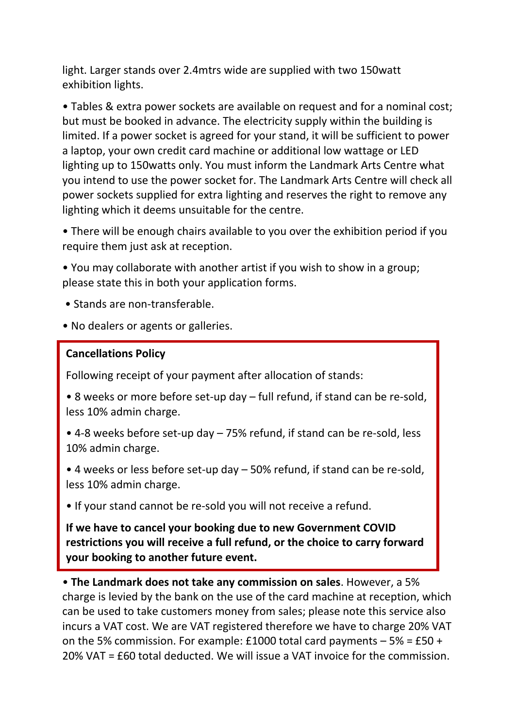light. Larger stands over 2.4mtrs wide are supplied with two 150watt exhibition lights.

• Tables & extra power sockets are available on request and for a nominal cost; but must be booked in advance. The electricity supply within the building is limited. If a power socket is agreed for your stand, it will be sufficient to power a laptop, your own credit card machine or additional low wattage or LED lighting up to 150watts only. You must inform the Landmark Arts Centre what you intend to use the power socket for. The Landmark Arts Centre will check all power sockets supplied for extra lighting and reserves the right to remove any lighting which it deems unsuitable for the centre.

• There will be enough chairs available to you over the exhibition period if you require them just ask at reception.

• You may collaborate with another artist if you wish to show in a group; please state this in both your application forms.

- Stands are non-transferable.
- No dealers or agents or galleries.

#### **Cancellations Policy**

Following receipt of your payment after allocation of stands:

- 8 weeks or more before set-up day full refund, if stand can be re-sold, less 10% admin charge.
- 4-8 weeks before set-up day 75% refund, if stand can be re-sold, less 10% admin charge.

• 4 weeks or less before set-up day – 50% refund, if stand can be re-sold, less 10% admin charge.

• If your stand cannot be re-sold you will not receive a refund.

**If we have to cancel your booking due to new Government COVID restrictions you will receive a full refund, or the choice to carry forward your booking to another future event.**

• **The Landmark does not take any commission on sales**. However, a 5% charge is levied by the bank on the use of the card machine at reception, which can be used to take customers money from sales; please note this service also incurs a VAT cost. We are VAT registered therefore we have to charge 20% VAT on the 5% commission. For example: £1000 total card payments  $-5% = £50 +$ 20% VAT = £60 total deducted. We will issue a VAT invoice for the commission.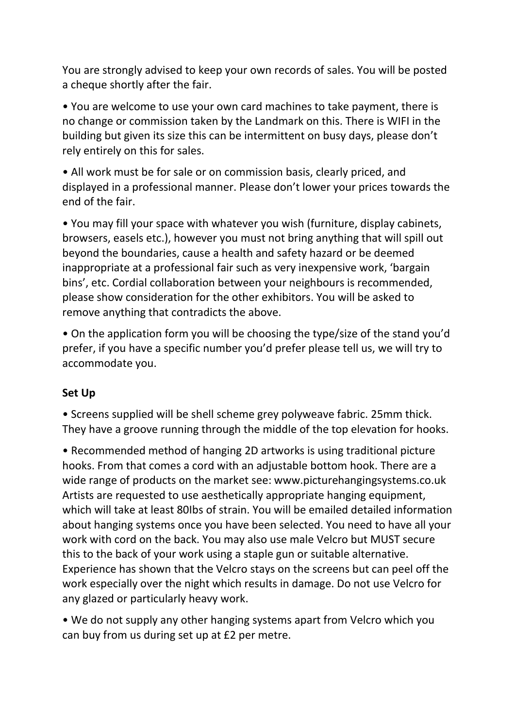You are strongly advised to keep your own records of sales. You will be posted a cheque shortly after the fair.

• You are welcome to use your own card machines to take payment, there is no change or commission taken by the Landmark on this. There is WIFI in the building but given its size this can be intermittent on busy days, please don't rely entirely on this for sales.

• All work must be for sale or on commission basis, clearly priced, and displayed in a professional manner. Please don't lower your prices towards the end of the fair.

• You may fill your space with whatever you wish (furniture, display cabinets, browsers, easels etc.), however you must not bring anything that will spill out beyond the boundaries, cause a health and safety hazard or be deemed inappropriate at a professional fair such as very inexpensive work, 'bargain bins', etc. Cordial collaboration between your neighbours is recommended, please show consideration for the other exhibitors. You will be asked to remove anything that contradicts the above.

• On the application form you will be choosing the type/size of the stand you'd prefer, if you have a specific number you'd prefer please tell us, we will try to accommodate you.

## **Set Up**

• Screens supplied will be shell scheme grey polyweave fabric. 25mm thick. They have a groove running through the middle of the top elevation for hooks.

• Recommended method of hanging 2D artworks is using traditional picture hooks. From that comes a cord with an adjustable bottom hook. There are a wide range of products on the market see: www.picturehangingsystems.co.uk Artists are requested to use aesthetically appropriate hanging equipment, which will take at least 80Ibs of strain. You will be emailed detailed information about hanging systems once you have been selected. You need to have all your work with cord on the back. You may also use male Velcro but MUST secure this to the back of your work using a staple gun or suitable alternative. Experience has shown that the Velcro stays on the screens but can peel off the work especially over the night which results in damage. Do not use Velcro for any glazed or particularly heavy work.

• We do not supply any other hanging systems apart from Velcro which you can buy from us during set up at £2 per metre.